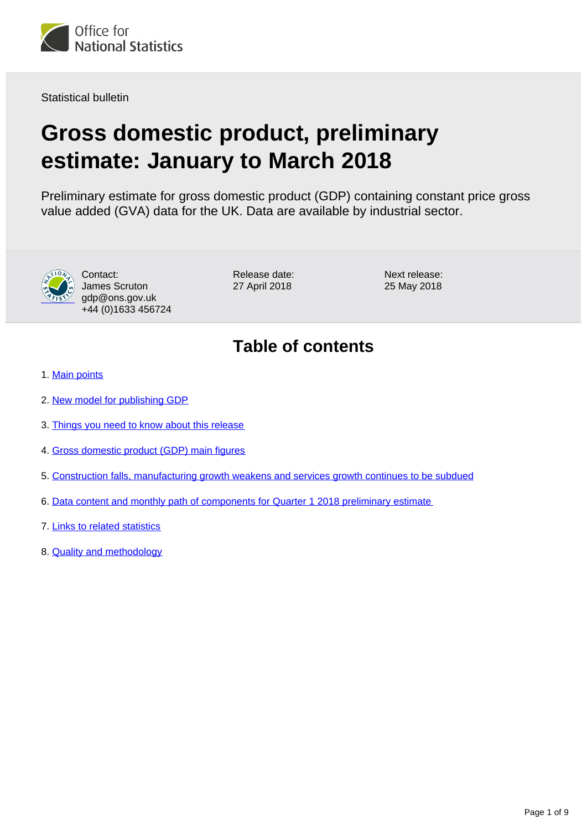

Statistical bulletin

# **Gross domestic product, preliminary estimate: January to March 2018**

Preliminary estimate for gross domestic product (GDP) containing constant price gross value added (GVA) data for the UK. Data are available by industrial sector.



Contact: James Scruton gdp@ons.gov.uk +44 (0)1633 456724 Release date: 27 April 2018

Next release: 25 May 2018

## **Table of contents**

- 1. [Main points](#page-1-0)
- 2. [New model for publishing GDP](#page-1-1)
- 3. [Things you need to know about this release](#page-1-2)
- 4. [Gross domestic product \(GDP\) main figures](#page-2-0)
- 5. [Construction falls, manufacturing growth weakens and services growth continues to be subdued](#page-4-0)
- 6. [Data content and monthly path of components for Quarter 1 2018 preliminary estimate](#page-6-0)
- 7. [Links to related statistics](#page-7-0)
- 8. [Quality and methodology](#page-7-1)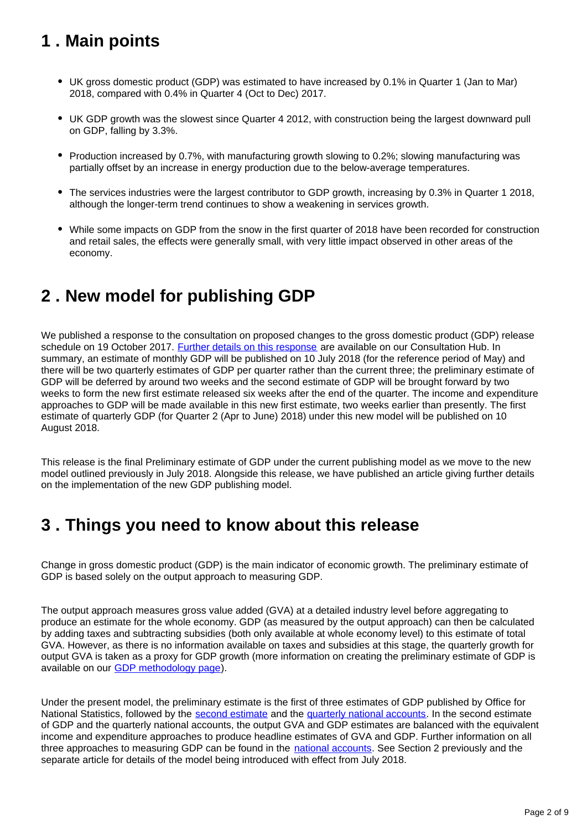## <span id="page-1-0"></span>**1 . Main points**

- UK gross domestic product (GDP) was estimated to have increased by 0.1% in Quarter 1 (Jan to Mar) 2018, compared with 0.4% in Quarter 4 (Oct to Dec) 2017.
- UK GDP growth was the slowest since Quarter 4 2012, with construction being the largest downward pull on GDP, falling by 3.3%.
- Production increased by 0.7%, with manufacturing growth slowing to 0.2%; slowing manufacturing was partially offset by an increase in energy production due to the below-average temperatures.
- The services industries were the largest contributor to GDP growth, increasing by 0.3% in Quarter 1 2018, although the longer-term trend continues to show a weakening in services growth.
- While some impacts on GDP from the snow in the first quarter of 2018 have been recorded for construction and retail sales, the effects were generally small, with very little impact observed in other areas of the economy.

## <span id="page-1-1"></span>**2 . New model for publishing GDP**

We published a response to the consultation on proposed changes to the gross domestic product (GDP) release schedule on 19 October 2017. [Further details on this response](https://consultations.ons.gov.uk/communication-division/changes-to-ons-gross-domestic-product-gdp-release/) are available on our Consultation Hub. In summary, an estimate of monthly GDP will be published on 10 July 2018 (for the reference period of May) and there will be two quarterly estimates of GDP per quarter rather than the current three; the preliminary estimate of GDP will be deferred by around two weeks and the second estimate of GDP will be brought forward by two weeks to form the new first estimate released six weeks after the end of the quarter. The income and expenditure approaches to GDP will be made available in this new first estimate, two weeks earlier than presently. The first estimate of quarterly GDP (for Quarter 2 (Apr to June) 2018) under this new model will be published on 10 August 2018.

This release is the final Preliminary estimate of GDP under the current publishing model as we move to the new model outlined previously in July 2018. Alongside this release, we have published an article giving further details on the implementation of the new GDP publishing model.

## <span id="page-1-2"></span>**3 . Things you need to know about this release**

Change in gross domestic product (GDP) is the main indicator of economic growth. The preliminary estimate of GDP is based solely on the output approach to measuring GDP.

The output approach measures gross value added (GVA) at a detailed industry level before aggregating to produce an estimate for the whole economy. GDP (as measured by the output approach) can then be calculated by adding taxes and subtracting subsidies (both only available at whole economy level) to this estimate of total GVA. However, as there is no information available on taxes and subsidies at this stage, the quarterly growth for output GVA is taken as a proxy for GDP growth (more information on creating the preliminary estimate of GDP is available on our [GDP methodology page](https://www.ons.gov.uk/economy/grossdomesticproductgdp/methodologies/outputapproachtogrossdomesticproductgdp)).

Under the present model, the preliminary estimate is the first of three estimates of GDP published by Office for National Statistics, followed by the [second estimate](https://www.ons.gov.uk/economy/grossdomesticproductgdp/bulletins/secondestimateofgdp/previousReleases) and the [quarterly national accounts](https://www.ons.gov.uk/economy/grossdomesticproductgdp/bulletins/quarterlynationalaccounts/previousReleases). In the second estimate of GDP and the quarterly national accounts, the output GVA and GDP estimates are balanced with the equivalent income and expenditure approaches to produce headline estimates of GVA and GDP. Further information on all three approaches to measuring GDP can be found in the [national accounts](http://www.ons.gov.uk/economy/nationalaccounts/uksectoraccounts/methodologies/nationalaccounts). See Section 2 previously and the separate article for details of the model being introduced with effect from July 2018.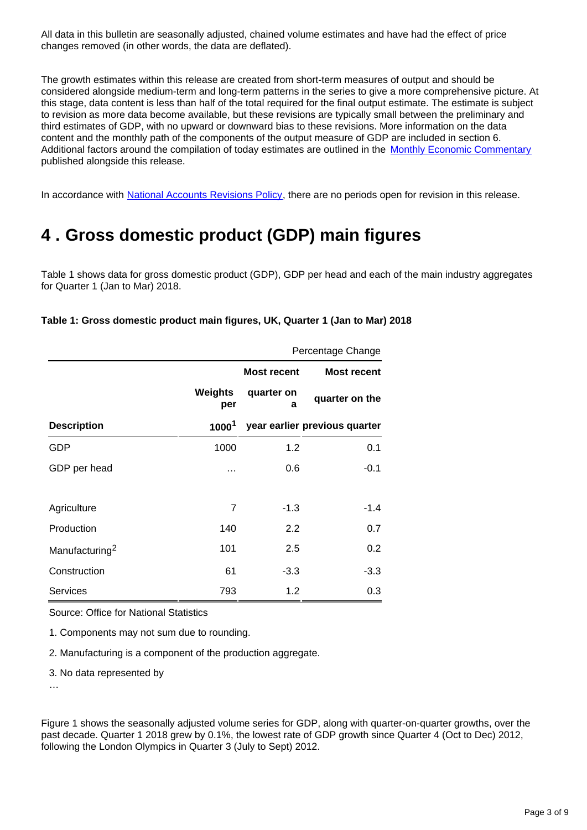All data in this bulletin are seasonally adjusted, chained volume estimates and have had the effect of price changes removed (in other words, the data are deflated).

The growth estimates within this release are created from short-term measures of output and should be considered alongside medium-term and long-term patterns in the series to give a more comprehensive picture. At this stage, data content is less than half of the total required for the final output estimate. The estimate is subject to revision as more data become available, but these revisions are typically small between the preliminary and third estimates of GDP, with no upward or downward bias to these revisions. More information on the data content and the monthly path of the components of the output measure of GDP are included in section 6. Additional factors around the compilation of today estimates are outlined in the [Monthly Economic Commentary](https://www.ons.gov.uk/economy/nationalaccounts/uksectoraccounts/articles/monthlyeconomiccommentary/april2018) published alongside this release.

In accordance with [National Accounts Revisions Policy,](https://www.ons.gov.uk/methodology/methodologytopicsandstatisticalconcepts/revisions/revisionspoliciesforeconomicstatistics) there are no periods open for revision in this release.

## <span id="page-2-0"></span>**4 . Gross domestic product (GDP) main figures**

Table 1 shows data for gross domestic product (GDP), GDP per head and each of the main industry aggregates for Quarter 1 (Jan to Mar) 2018.

### **Table 1: Gross domestic product main figures, UK, Quarter 1 (Jan to Mar) 2018**

|                            |                   | Percentage Change  |                               |  |  |
|----------------------------|-------------------|--------------------|-------------------------------|--|--|
|                            |                   | <b>Most recent</b> | <b>Most recent</b>            |  |  |
|                            | Weights<br>per    | quarter on<br>a    | quarter on the                |  |  |
| <b>Description</b>         | 1000 <sup>1</sup> |                    | year earlier previous quarter |  |  |
| GDP                        | 1000              | 1.2                | 0.1                           |  |  |
| GDP per head               | .                 | 0.6                | $-0.1$                        |  |  |
|                            |                   |                    |                               |  |  |
| Agriculture                | $\overline{7}$    | $-1.3$             | $-1.4$                        |  |  |
| Production                 | 140               | 2.2                | 0.7                           |  |  |
| Manufacturing <sup>2</sup> | 101               | 2.5                | 0.2                           |  |  |
| Construction               | 61                | $-3.3$             | $-3.3$                        |  |  |
| <b>Services</b>            | 793               | 1.2                | 0.3                           |  |  |

Source: Office for National Statistics

1. Components may not sum due to rounding.

2. Manufacturing is a component of the production aggregate.

3. No data represented by

…

Figure 1 shows the seasonally adjusted volume series for GDP, along with quarter-on-quarter growths, over the past decade. Quarter 1 2018 grew by 0.1%, the lowest rate of GDP growth since Quarter 4 (Oct to Dec) 2012, following the London Olympics in Quarter 3 (July to Sept) 2012.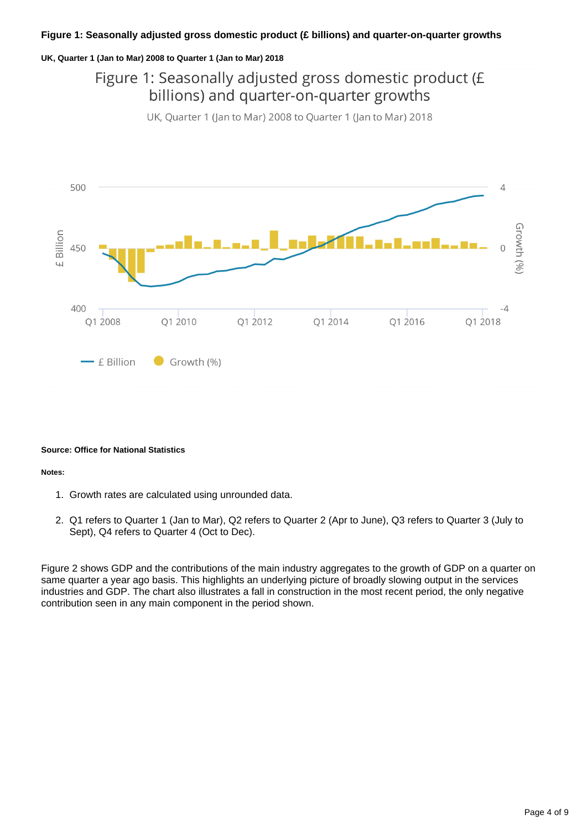#### **UK, Quarter 1 (Jan to Mar) 2008 to Quarter 1 (Jan to Mar) 2018**

### Figure 1: Seasonally adjusted gross domestic product (£ billions) and quarter-on-quarter growths

UK, Quarter 1 (Jan to Mar) 2008 to Quarter 1 (Jan to Mar) 2018



#### **Source: Office for National Statistics**

#### **Notes:**

- 1. Growth rates are calculated using unrounded data.
- 2. Q1 refers to Quarter 1 (Jan to Mar), Q2 refers to Quarter 2 (Apr to June), Q3 refers to Quarter 3 (July to Sept), Q4 refers to Quarter 4 (Oct to Dec).

Figure 2 shows GDP and the contributions of the main industry aggregates to the growth of GDP on a quarter on same quarter a year ago basis. This highlights an underlying picture of broadly slowing output in the services industries and GDP. The chart also illustrates a fall in construction in the most recent period, the only negative contribution seen in any main component in the period shown.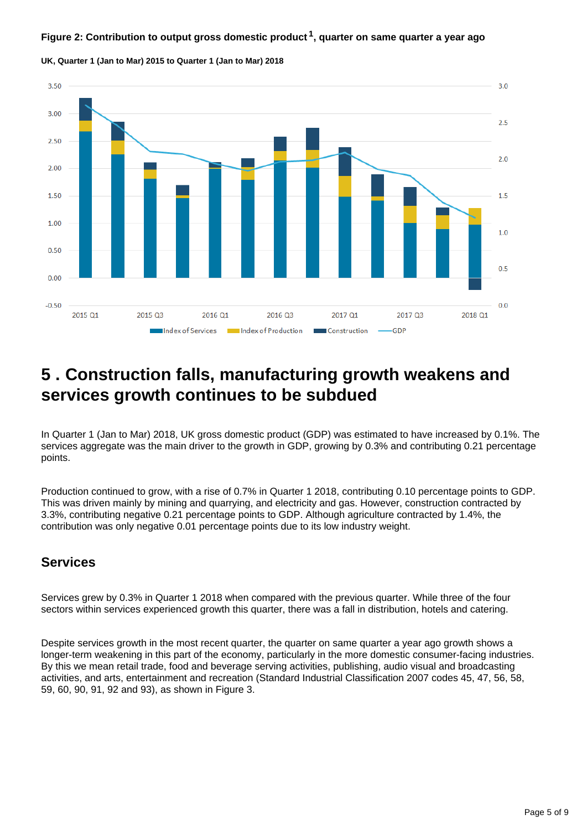### **Figure 2: Contribution to output gross domestic product<sup>1</sup>, quarter on same quarter a year ago**



**UK, Quarter 1 (Jan to Mar) 2015 to Quarter 1 (Jan to Mar) 2018**

## <span id="page-4-0"></span>**5 . Construction falls, manufacturing growth weakens and services growth continues to be subdued**

In Quarter 1 (Jan to Mar) 2018, UK gross domestic product (GDP) was estimated to have increased by 0.1%. The services aggregate was the main driver to the growth in GDP, growing by 0.3% and contributing 0.21 percentage points.

Production continued to grow, with a rise of 0.7% in Quarter 1 2018, contributing 0.10 percentage points to GDP. This was driven mainly by mining and quarrying, and electricity and gas. However, construction contracted by 3.3%, contributing negative 0.21 percentage points to GDP. Although agriculture contracted by 1.4%, the contribution was only negative 0.01 percentage points due to its low industry weight.

### **Services**

Services grew by 0.3% in Quarter 1 2018 when compared with the previous quarter. While three of the four sectors within services experienced growth this quarter, there was a fall in distribution, hotels and catering.

Despite services growth in the most recent quarter, the quarter on same quarter a year ago growth shows a longer-term weakening in this part of the economy, particularly in the more domestic consumer-facing industries. By this we mean retail trade, food and beverage serving activities, publishing, audio visual and broadcasting activities, and arts, entertainment and recreation (Standard Industrial Classification 2007 codes 45, 47, 56, 58, 59, 60, 90, 91, 92 and 93), as shown in Figure 3.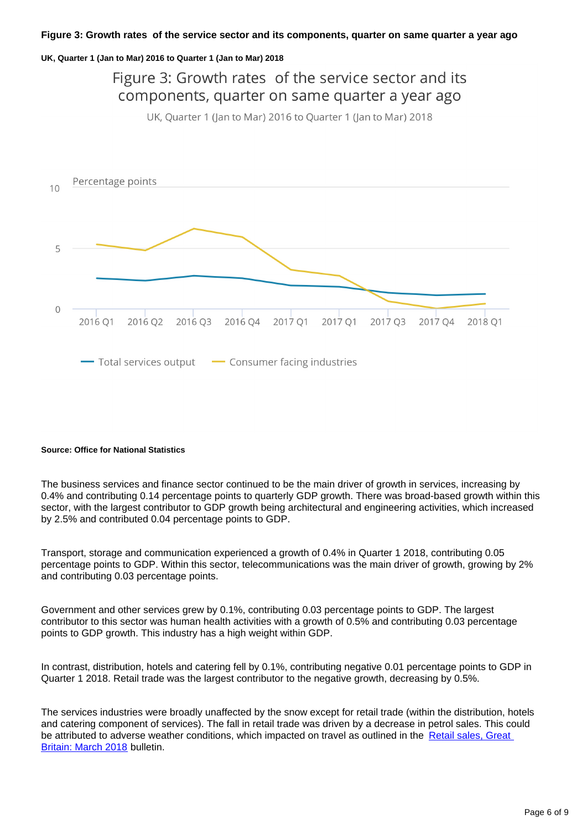#### **UK, Quarter 1 (Jan to Mar) 2016 to Quarter 1 (Jan to Mar) 2018**

### Figure 3: Growth rates of the service sector and its components, quarter on same quarter a year ago UK. Ouarter 1 (Jan to Mar) 2016 to Ouarter 1 (Jan to Mar) 2018 Percentage points  $10$ 5  $\overline{0}$ 2016 Q1 2016 Q2 2016 Q3 2016 Q4 2017 Q1 2017 Q1 2017 Q3 2017 Q4 2018 Q1 -Total services output - Consumer facing industries

#### **Source: Office for National Statistics**

The business services and finance sector continued to be the main driver of growth in services, increasing by 0.4% and contributing 0.14 percentage points to quarterly GDP growth. There was broad-based growth within this sector, with the largest contributor to GDP growth being architectural and engineering activities, which increased by 2.5% and contributed 0.04 percentage points to GDP.

Transport, storage and communication experienced a growth of 0.4% in Quarter 1 2018, contributing 0.05 percentage points to GDP. Within this sector, telecommunications was the main driver of growth, growing by 2% and contributing 0.03 percentage points.

Government and other services grew by 0.1%, contributing 0.03 percentage points to GDP. The largest contributor to this sector was human health activities with a growth of 0.5% and contributing 0.03 percentage points to GDP growth. This industry has a high weight within GDP.

In contrast, distribution, hotels and catering fell by 0.1%, contributing negative 0.01 percentage points to GDP in Quarter 1 2018. Retail trade was the largest contributor to the negative growth, decreasing by 0.5%.

The services industries were broadly unaffected by the snow except for retail trade (within the distribution, hotels and catering component of services). The fall in retail trade was driven by a decrease in petrol sales. This could be attributed to adverse weather conditions, which impacted on travel as outlined in the [Retail sales, Great](https://www.ons.gov.uk/businessindustryandtrade/retailindustry/bulletins/retailsales/march2018)  [Britain: March 2018](https://www.ons.gov.uk/businessindustryandtrade/retailindustry/bulletins/retailsales/march2018) bulletin.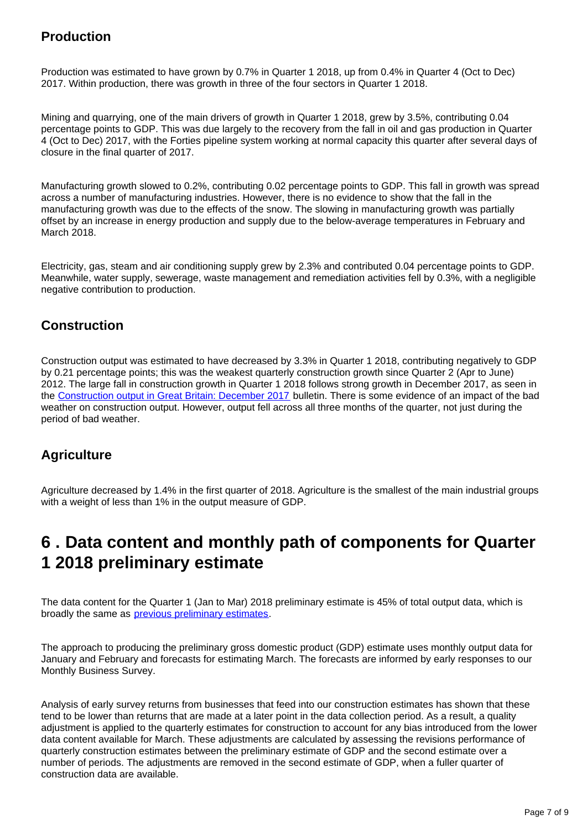### **Production**

Production was estimated to have grown by 0.7% in Quarter 1 2018, up from 0.4% in Quarter 4 (Oct to Dec) 2017. Within production, there was growth in three of the four sectors in Quarter 1 2018.

Mining and quarrying, one of the main drivers of growth in Quarter 1 2018, grew by 3.5%, contributing 0.04 percentage points to GDP. This was due largely to the recovery from the fall in oil and gas production in Quarter 4 (Oct to Dec) 2017, with the Forties pipeline system working at normal capacity this quarter after several days of closure in the final quarter of 2017.

Manufacturing growth slowed to 0.2%, contributing 0.02 percentage points to GDP. This fall in growth was spread across a number of manufacturing industries. However, there is no evidence to show that the fall in the manufacturing growth was due to the effects of the snow. The slowing in manufacturing growth was partially offset by an increase in energy production and supply due to the below-average temperatures in February and March 2018.

Electricity, gas, steam and air conditioning supply grew by 2.3% and contributed 0.04 percentage points to GDP. Meanwhile, water supply, sewerage, waste management and remediation activities fell by 0.3%, with a negligible negative contribution to production.

### **Construction**

Construction output was estimated to have decreased by 3.3% in Quarter 1 2018, contributing negatively to GDP by 0.21 percentage points; this was the weakest quarterly construction growth since Quarter 2 (Apr to June) 2012. The large fall in construction growth in Quarter 1 2018 follows strong growth in December 2017, as seen in the [Construction output in Great Britain: December 2017](https://www.ons.gov.uk/businessindustryandtrade/constructionindustry/bulletins/constructionoutputingreatbritain/december2017) bulletin. There is some evidence of an impact of the bad weather on construction output. However, output fell across all three months of the quarter, not just during the period of bad weather.

### **Agriculture**

Agriculture decreased by 1.4% in the first quarter of 2018. Agriculture is the smallest of the main industrial groups with a weight of less than 1% in the output measure of GDP.

## <span id="page-6-0"></span>**6 . Data content and monthly path of components for Quarter 1 2018 preliminary estimate**

The data content for the Quarter 1 (Jan to Mar) 2018 preliminary estimate is 45% of total output data, which is broadly the same as [previous preliminary estimates.](https://www.ons.gov.uk/search?q=GDP%20preliminary)

The approach to producing the preliminary gross domestic product (GDP) estimate uses monthly output data for January and February and forecasts for estimating March. The forecasts are informed by early responses to our Monthly Business Survey.

Analysis of early survey returns from businesses that feed into our construction estimates has shown that these tend to be lower than returns that are made at a later point in the data collection period. As a result, a quality adjustment is applied to the quarterly estimates for construction to account for any bias introduced from the lower data content available for March. These adjustments are calculated by assessing the revisions performance of quarterly construction estimates between the preliminary estimate of GDP and the second estimate over a number of periods. The adjustments are removed in the second estimate of GDP, when a fuller quarter of construction data are available.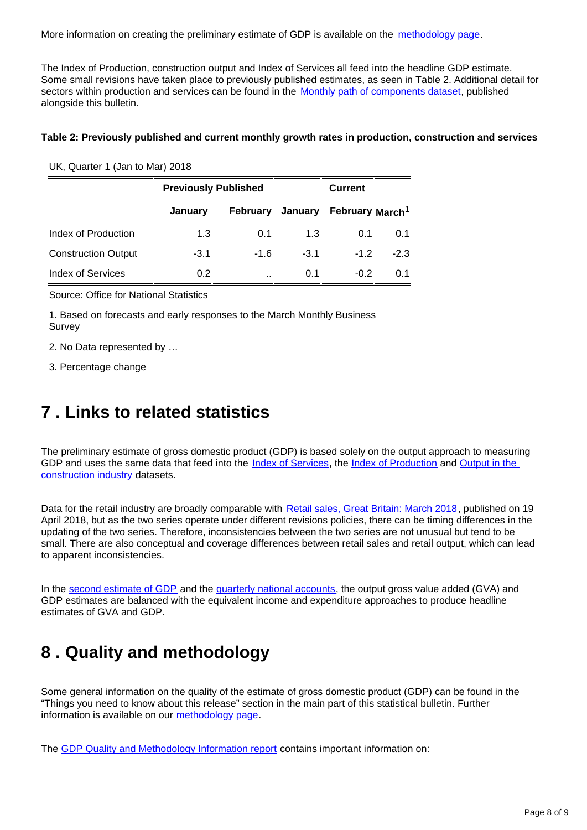More information on creating the preliminary estimate of GDP is available on the [methodology page](https://www.ons.gov.uk/economy/grossdomesticproductgdp/methodologies/outputapproachtogrossdomesticproductgdp).

The Index of Production, construction output and Index of Services all feed into the headline GDP estimate. Some small revisions have taken place to previously published estimates, as seen in Table 2. Additional detail for sectors within production and services can be found in the [Monthly path of components dataset,](https://www.ons.gov.uk/economy/grossdomesticproductgdp/datasets/monthlypathofcomponents) published alongside this bulletin.

### **Table 2: Previously published and current monthly growth rates in production, construction and services**

|                            | <b>Previously Published</b> |                      |        | <b>Current</b>                               |        |
|----------------------------|-----------------------------|----------------------|--------|----------------------------------------------|--------|
|                            | January                     |                      |        | February January February March <sup>1</sup> |        |
| Index of Production        | 1.3                         | 0.1                  | 1.3    | 0.1                                          | 0.1    |
| <b>Construction Output</b> | $-3.1$                      | $-1.6$               | $-3.1$ | $-1.2$                                       | $-2.3$ |
| <b>Index of Services</b>   | 0.2                         | $\ddot{\phantom{a}}$ | 0.1    | $-0.2$                                       | 0.1    |

UK, Quarter 1 (Jan to Mar) 2018

Source: Office for National Statistics

1. Based on forecasts and early responses to the March Monthly Business Survey

2. No Data represented by …

3. Percentage change

## <span id="page-7-0"></span>**7 . Links to related statistics**

The preliminary estimate of gross domestic product (GDP) is based solely on the output approach to measuring GDP and uses the same data that feed into the [Index of Services,](https://www.ons.gov.uk/economy/economicoutputandproductivity/output/bulletins/indexofservices/previousReleases) the [Index of Production](https://www.ons.gov.uk/economy/economicoutputandproductivity/output/bulletins/indexofproduction/previousReleases) and Output in the [construction industry](https://www.ons.gov.uk/businessindustryandtrade/constructionindustry/bulletins/constructionoutputingreatbritain/previousReleases) datasets.

Data for the retail industry are broadly comparable with [Retail sales, Great Britain: March 2018,](https://www.ons.gov.uk/businessindustryandtrade/retailindustry/bulletins/retailsales/march2018) published on 19 April 2018, but as the two series operate under different revisions policies, there can be timing differences in the updating of the two series. Therefore, inconsistencies between the two series are not unusual but tend to be small. There are also conceptual and coverage differences between retail sales and retail output, which can lead to apparent inconsistencies.

In the [second estimate of GDP](https://www.ons.gov.uk/economy/grossdomesticproductgdp/bulletins/secondestimateofgdp/previousReleases) and the [quarterly national accounts,](https://www.ons.gov.uk/economy/grossdomesticproductgdp/bulletins/quarterlynationalaccounts/previousReleases) the output gross value added (GVA) and GDP estimates are balanced with the equivalent income and expenditure approaches to produce headline estimates of GVA and GDP.

## <span id="page-7-1"></span>**8 . Quality and methodology**

Some general information on the quality of the estimate of gross domestic product (GDP) can be found in the "Things you need to know about this release" section in the main part of this statistical bulletin. Further information is available on our [methodology page](https://www.ons.gov.uk/economy/grossdomesticproductgdp/methodologies/outputapproachtogrossdomesticproductgdp).

The [GDP Quality and Methodology Information report](https://www.ons.gov.uk/economy/grossdomesticproductgdp/qmis/grossdomesticproductgdpqmi) contains important information on: